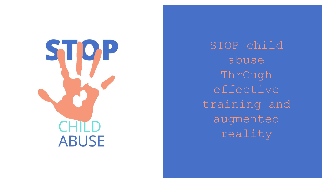

STOP child abuse ThrOugh effective training and augmented reality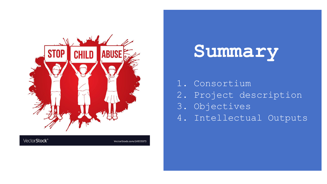

Vector Stock<sup>®</sup>

VectorStock.com/24933073



- 1. Consortium
- 2. Project description
- 3. Objectives
- 4. Intellectual Outputs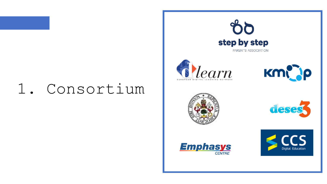# 1. Consortium













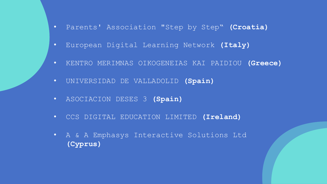- Parents' Association "Step by Step" **(Croatia)**
- European Digital Learning Network **(Italy)**
- KENTRO MERIMNAS OIKOGENEIAS KAI PAIDIOU **(Greece)**
- UNIVERSIDAD DE VALLADOLID **(Spain)**
- ASOCIACION DESES 3 **(Spain)**
- CCS DIGITAL EDUCATION LIMITED **(Ireland)**
- A & A Emphasys Interactive Solutions Ltd **(Cyprus)**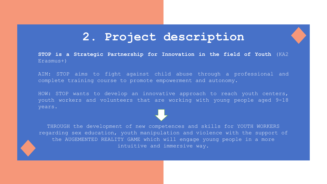### **2. Project description**

**STOP is a Strategic Partnership for Innovation in the field of Youth** (KA2 Erasmus+)

AIM: STOP aims to fight against child abuse through a professional and complete training course to promote empowerment and autonomy.

HOW: STOP wants to develop an innovative approach to reach youth centers, youth workers and volunteers that are working with young people aged 9-18 years.

THROUGH the development of new competences and skills for YOUTH WORKERS regarding sex education, youth manipulation and violence with the support of the AUGEMENTED REALITY GAME which will engage young people in a more intuitive and immersive way.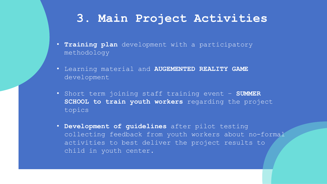## **3. Main Project Activities**

- **Training plan** development with a participatory methodology
- Learning material and **AUGEMENTED REALITY GAME**  development
- Short term joining staff training event **SUMMER SCHOOL to train youth workers** regarding the project topics
- **Development of guidelines** after pilot testing collecting feedback from youth workers about no-formal activities to best deliver the project results to child in youth center.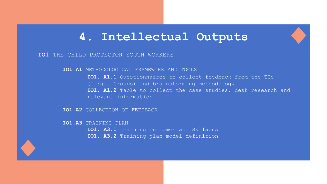### **4. Intellectual Outputs**

#### **IO1** THE CHILD PROTECTOR YOUTH WORKERS

**IO1.A1** METHODOLOGICAL FRAMEWORK AND TOOLS

**IO1. A1.1** Questionnaires to collect feedback from the TGs (Target Groups) and brainstorming methodology **IO1. A1.2** Table to collect the case studies, desk research and relevant information

**IO1.A2** COLLECTION OF FEEDBACK

**IO1.A3** TRAINING PLAN

- **IO1. A3.1** Learning Outcomes and Syllabus
- **IO1. A3.2** Training plan model definition

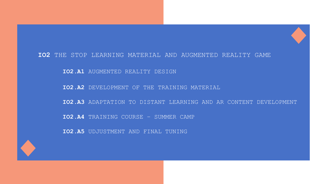### **IO2** THE STOP LEARNING MATERIAL AND AUGMENTED REALITY GAME

**IO2.A1** AUGMENTED REALITY DESIGN

**IO2.A2** DEVELOPMENT OF THE TRAINING MATERIAL

**IO2.A3** ADAPTATION TO DISTANT LEARNING AND AR CONTENT DEVELOPMENT

**IO2.A4** TRAINING COURSE – SUMMER CAMP

**IO2.A5** UDJUSTMENT AND FINAL TUNING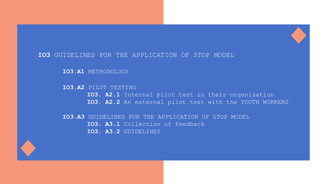### **IO3** GUIDELINES FOR THE APPLICATION OF STOP MODEL

**IO3.A1** METHODOLOGY

**IO3.A2** PILOT TESTING **IO3. A2.1** Internal pilot test in their organization **IO3. A2.2** An external pilot test with the YOUTH WORKERS

**IO3.A3** GUIDELINES FOR THE APPLICATION OF STOP MODEL **IO3. A3.1** Collection of feedback **IO3. A3.2** GUIDELINES